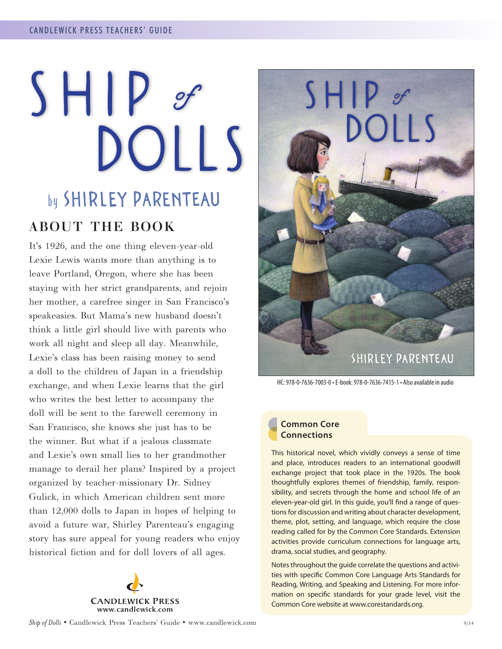# $SHIP$ DOLLS by SHIRLEY PARENTEAU

# ABOUT THE BOOK

It's 1926, and the one thing eleven-year-old Lexie Lewis wants more than anything is to leave Portland, Oregon, where she has been staying with her strict grandparents, and rejoin her mother, a carefree singer in San Francisco's speakeasies. But Mama's new husband doesn't think a little girl should live with parents who work all night and sleep all day. Meanwhile, Lexie's class has been raising money to send a doll to the children of Japan in a friendship exchange, and when Lexie learns that the girl who writes the best letter to accompany the doll will be sent to the farewell ceremony in San Francisco, she knows she just has to be the winner. But what if a jealous classmate and Lexie's own small lies to her grandmother manage to derail her plans? Inspired by a project organized by teacher-missionary Dr. Sidney Gulick, in which American children sent more than 12,000 dolls to Japan in hopes of helping to avoid a future war, Shirley Parenteau's engaging story has sure appeal for young readers who enjoy historical fiction and for doll lovers of all ages.





HC: 978-0-7636-7003-0 • E-book: 978-0-7636-7415-1 • Also available in audio

# **Common Core Connections**

This historical novel, which vividly conveys a sense of time and place, introduces readers to an international goodwill exchange project that took place in the 1920s. The book thoughtfully explores themes of friendship, family, responsibility, and secrets through the home and school life of an eleven-year-old girl. In this guide, you'll find a range of questions for discussion and writing about character development, theme, plot, setting, and language, which require the close reading called for by the Common Core Standards. Extension activities provide curriculum connections for language arts, drama, social studies, and geography.

Notes throughout the guide correlate the questions and activities with specific Common Core Language Arts Standards for Reading, Writing, and Speaking and Listening. For more information on specific standards for your grade level, visit the Common Core website at www.corestandards.org.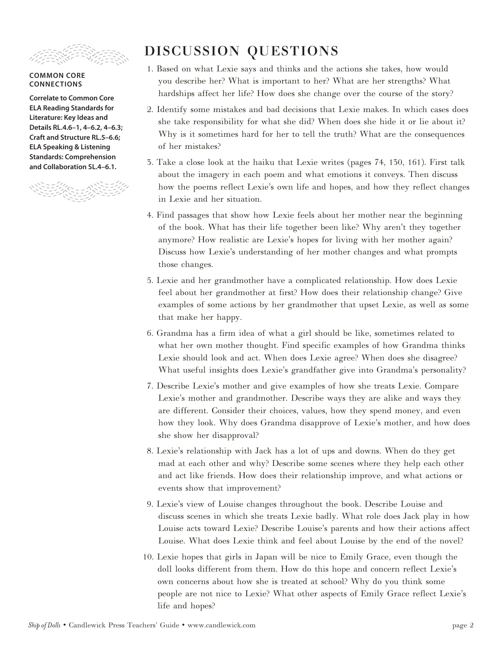

#### **COMMON CORE CONNECTIONS**

**Correlate to Common Core ELA Reading Standards for Literature: Key Ideas and Details RL.4.6–1, 4–6.2, 4–6.3; Craft and Structure RL.5–6.6; ELA Speaking & Listening Standards: Comprehension and Collaboration SL.4–6.1.**



# DISCUSSION QUESTIONS

- 1. Based on what Lexie says and thinks and the actions she takes, how would you describe her? What is important to her? What are her strengths? What hardships affect her life? How does she change over the course of the story?
- 2. Identify some mistakes and bad decisions that Lexie makes. In which cases does she take responsibility for what she did? When does she hide it or lie about it? Why is it sometimes hard for her to tell the truth? What are the consequences of her mistakes?
- 3. Take a close look at the haiku that Lexie writes (pages 74, 130, 161). First talk about the imagery in each poem and what emotions it conveys. Then discuss how the poems reflect Lexie's own life and hopes, and how they reflect changes in Lexie and her situation.
- 4. Find passages that show how Lexie feels about her mother near the beginning of the book. What has their life together been like? Why aren't they together anymore? How realistic are Lexie's hopes for living with her mother again? Discuss how Lexie's understanding of her mother changes and what prompts those changes.
- 5. Lexie and her grandmother have a complicated relationship. How does Lexie feel about her grandmother at first? How does their relationship change? Give examples of some actions by her grandmother that upset Lexie, as well as some that make her happy.
- 6. Grandma has a firm idea of what a girl should be like, sometimes related to what her own mother thought. Find specific examples of how Grandma thinks Lexie should look and act. When does Lexie agree? When does she disagree? What useful insights does Lexie's grandfather give into Grandma's personality?
- 7. Describe Lexie's mother and give examples of how she treats Lexie. Compare Lexie's mother and grandmother. Describe ways they are alike and ways they are different. Consider their choices, values, how they spend money, and even how they look. Why does Grandma disapprove of Lexie's mother, and how does she show her disapproval?
- 8. Lexie's relationship with Jack has a lot of ups and downs. When do they get mad at each other and why? Describe some scenes where they help each other and act like friends. How does their relationship improve, and what actions or events show that improvement?
- 9. Lexie's view of Louise changes throughout the book. Describe Louise and discuss scenes in which she treats Lexie badly. What role does Jack play in how Louise acts toward Lexie? Describe Louise's parents and how their actions affect Louise. What does Lexie think and feel about Louise by the end of the novel?
- 10. Lexie hopes that girls in Japan will be nice to Emily Grace, even though the doll looks different from them. How do this hope and concern reflect Lexie's own concerns about how she is treated at school? Why do you think some people are not nice to Lexie? What other aspects of Emily Grace reflect Lexie's life and hopes?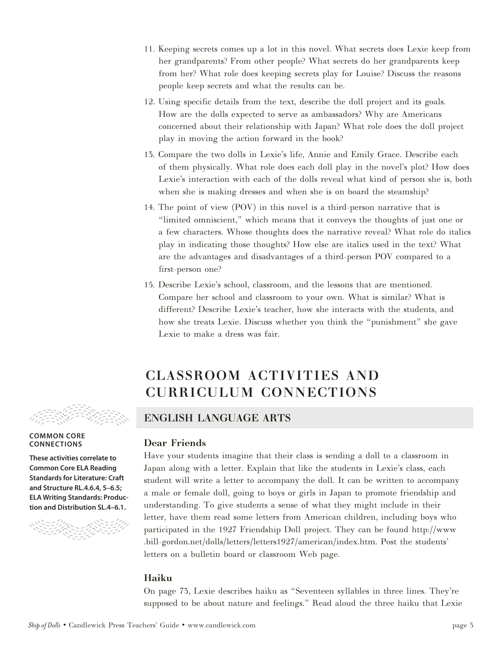- 11. Keeping secrets comes up a lot in this novel. What secrets does Lexie keep from her grandparents? From other people? What secrets do her grandparents keep from her? What role does keeping secrets play for Louise? Discuss the reasons people keep secrets and what the results can be.
- 12. Using specific details from the text, describe the doll project and its goals. How are the dolls expected to serve as ambassadors? Why are Americans concerned about their relationship with Japan? What role does the doll project play in moving the action forward in the book?
- 13. Compare the two dolls in Lexie's life, Annie and Emily Grace. Describe each of them physically. What role does each doll play in the novel's plot? How does Lexie's interaction with each of the dolls reveal what kind of person she is, both when she is making dresses and when she is on board the steamship?
- 14. The point of view (POV) in this novel is a third-person narrative that is "limited omniscient," which means that it conveys the thoughts of just one or a few characters. Whose thoughts does the narrative reveal? What role do italics play in indicating those thoughts? How else are italics used in the text? What are the advantages and disadvantages of a third-person POV compared to a first-person one?
- 15. Describe Lexie's school, classroom, and the lessons that are mentioned. Compare her school and classroom to your own. What is similar? What is different? Describe Lexie's teacher, how she interacts with the students, and how she treats Lexie. Discuss whether you think the "punishment" she gave Lexie to make a dress was fair.

# CLASSROOM ACTIVITIES AND CURRICULUM CONNECTIONS



#### **COMMON CORE CONNECTIONS**

**These activities correlate to Common Core ELA Reading Standards for Literature: Craft and Structure RL.4.6.4, 5–6.5; ELA Writing Standards: Production and Distribution SL.4–6.1.** 



# ENGLISH LANGUAGE ARTS

## Dear Friends

Have your students imagine that their class is sending a doll to a classroom in Japan along with a letter. Explain that like the students in Lexie's class, each student will write a letter to accompany the doll. It can be written to accompany a male or female doll, going to boys or girls in Japan to promote friendship and understanding. To give students a sense of what they might include in their letter, have them read some letters from American children, including boys who participated in the 1927 Friendship Doll project. They can be found http://www .bill-gordon.net/dolls/letters/letters1927/american/index.htm. Post the students' letters on a bulletin board or classroom Web page.

# Haiku

On page 73, Lexie describes haiku as "Seventeen syllables in three lines. They're supposed to be about nature and feelings." Read aloud the three haiku that Lexie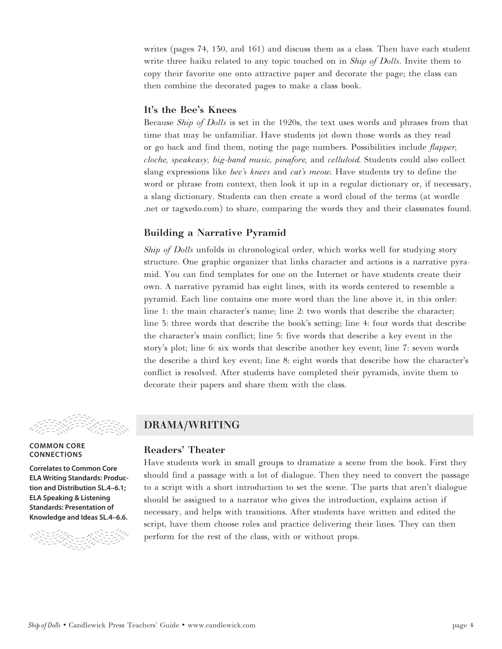writes (pages 74, 130, and 161) and discuss them as a class. Then have each student write three haiku related to any topic touched on in *Ship of Dolls*. Invite them to copy their favorite one onto attractive paper and decorate the page; the class can then combine the decorated pages to make a class book.

## It's the Bee's Knees

Because *Ship of Dolls* is set in the 1920s, the text uses words and phrases from that time that may be unfamiliar. Have students jot down those words as they read or go back and find them, noting the page numbers. Possibilities include *flapper, cloche, speakeasy, big-band music, pinafore,* and *celluloid.* Students could also collect slang expressions like *bee's knees* and *cat's meow.* Have students try to define the word or phrase from context, then look it up in a regular dictionary or, if necessary, a slang dictionary. Students can then create a word cloud of the terms (at wordle .net or tagxedo.com) to share, comparing the words they and their classmates found.

# Building a Narrative Pyramid

*Ship of Dolls* unfolds in chronological order, which works well for studying story structure. One graphic organizer that links character and actions is a narrative pyramid. You can find templates for one on the Internet or have students create their own. A narrative pyramid has eight lines, with its words centered to resemble a pyramid. Each line contains one more word than the line above it, in this order: line 1: the main character's name; line 2: two words that describe the character; line 3: three words that describe the book's setting; line 4: four words that describe the character's main conflict; line 5: five words that describe a key event in the story's plot; line 6: six words that describe another key event; line 7: seven words the describe a third key event; line 8: eight words that describe how the character's conflict is resolved. After students have completed their pyramids, invite them to decorate their papers and share them with the class.



#### **COMMON CORE CONNECTIONS**

**Correlates to Common Core ELA Writing Standards: Production and Distribution SL.4–6.1; ELA Speaking & Listening Standards: Presentation of Knowledge and Ideas SL.4–6.6.**



# DRAMA/WRITING

### Readers' Theater

Have students work in small groups to dramatize a scene from the book. First they should find a passage with a lot of dialogue. Then they need to convert the passage to a script with a short introduction to set the scene. The parts that aren't dialogue should be assigned to a narrator who gives the introduction, explains action if necessary, and helps with transitions. After students have written and edited the script, have them choose roles and practice delivering their lines. They can then perform for the rest of the class, with or without props.